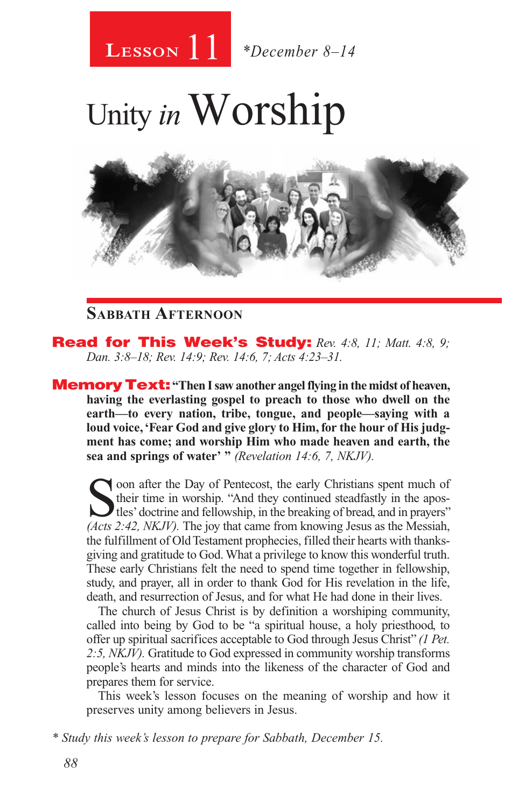# 11 **Lesson** *\*December 8–14*

# Unity *in* Worship



## **Sabbath Afternoon**

Read for This Week's Study: *Rev. 4:8, 11; Matt. 4:8, 9; Dan. 3:8–18; Rev. 14:9; Rev. 14:6, 7; Acts 4:23–31.*

**Memory Text:** "Then I saw another angel flying in the midst of heaven, **having the everlasting gospel to preach to those who dwell on the earth—to every nation, tribe, tongue, and people—saying with a loud voice, 'Fear God and give glory to Him, for the hour of His judgment has come; and worship Him who made heaven and earth, the sea and springs of water' "** *(Revelation 14:6, 7, NKJV).* 

Soon after the Day of Pentecost, the early Christians spent much of their time in worship. "And they continued steadfastly in the apos-<br>tles' doctrine and fellowship, in the breaking of bread, and in prayers"<br>(*Acts 2:42* their time in worship. "And they continued steadfastly in the apos-*(Acts 2:42, NKJV).* The joy that came from knowing Jesus as the Messiah, the fulfillment of Old Testament prophecies, filled their hearts with thanksgiving and gratitude to God. What a privilege to know this wonderful truth. These early Christians felt the need to spend time together in fellowship, study, and prayer, all in order to thank God for His revelation in the life, death, and resurrection of Jesus, and for what He had done in their lives.

The church of Jesus Christ is by definition a worshiping community, called into being by God to be "a spiritual house, a holy priesthood, to offer up spiritual sacrifices acceptable to God through Jesus Christ" *(1 Pet. 2:5, NKJV).* Gratitude to God expressed in community worship transforms people's hearts and minds into the likeness of the character of God and prepares them for service.

This week's lesson focuses on the meaning of worship and how it preserves unity among believers in Jesus.

*\* Study this week's lesson to prepare for Sabbath, December 15.*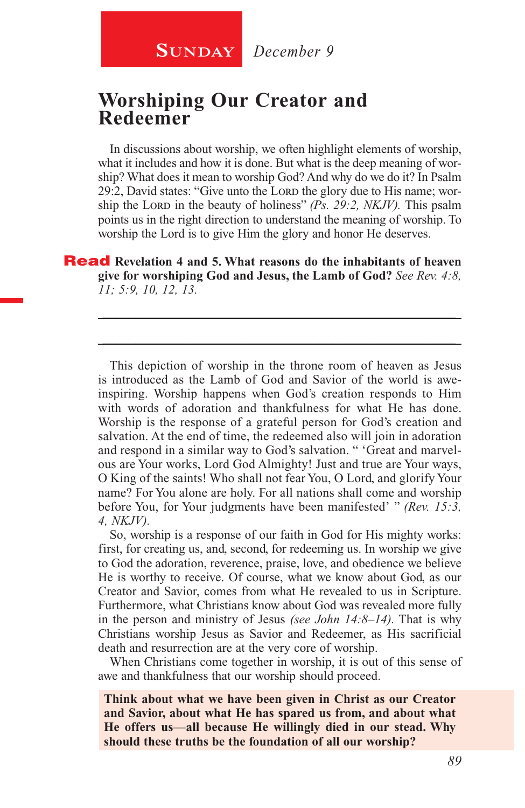**SUNDAY** December 9

## **Worshiping Our Creator and Redeemer**

In discussions about worship, we often highlight elements of worship, what it includes and how it is done. But what is the deep meaning of worship? What does it mean to worship God? And why do we do it? In Psalm 29:2, David states: "Give unto the Lord the glory due to His name; worship the Lord in the beauty of holiness" *(Ps. 29:2, NKJV)*. This psalm points us in the right direction to understand the meaning of worship. To worship the Lord is to give Him the glory and honor He deserves.

Read **Revelation 4 and 5. What reasons do the inhabitants of heaven give for worshiping God and Jesus, the Lamb of God?** *See Rev. 4:8, 11; 5:9, 10, 12, 13.*

\_\_\_\_\_\_\_\_\_\_\_\_\_\_\_\_\_\_\_\_\_\_\_\_\_\_\_\_\_\_\_\_\_\_\_\_\_\_\_\_\_\_\_\_\_\_\_\_\_\_\_\_\_\_

\_\_\_\_\_\_\_\_\_\_\_\_\_\_\_\_\_\_\_\_\_\_\_\_\_\_\_\_\_\_\_\_\_\_\_\_\_\_\_\_\_\_\_\_\_\_\_\_\_\_\_\_\_\_

This depiction of worship in the throne room of heaven as Jesus is introduced as the Lamb of God and Savior of the world is aweinspiring. Worship happens when God's creation responds to Him with words of adoration and thankfulness for what He has done. Worship is the response of a grateful person for God's creation and salvation. At the end of time, the redeemed also will join in adoration and respond in a similar way to God's salvation. " 'Great and marvelous are Your works, Lord God Almighty! Just and true are Your ways, O King of the saints! Who shall not fear You, O Lord, and glorify Your name? For You alone are holy. For all nations shall come and worship before You, for Your judgments have been manifested' " *(Rev. 15:3, 4, NKJV).*

So, worship is a response of our faith in God for His mighty works: first, for creating us, and, second, for redeeming us. In worship we give to God the adoration, reverence, praise, love, and obedience we believe He is worthy to receive. Of course, what we know about God, as our Creator and Savior, comes from what He revealed to us in Scripture. Furthermore, what Christians know about God was revealed more fully in the person and ministry of Jesus *(see John 14:8–14).* That is why Christians worship Jesus as Savior and Redeemer, as His sacrificial death and resurrection are at the very core of worship.

When Christians come together in worship, it is out of this sense of awe and thankfulness that our worship should proceed.

**Think about what we have been given in Christ as our Creator and Savior, about what He has spared us from, and about what He offers us—all because He willingly died in our stead. Why should these truths be the foundation of all our worship?**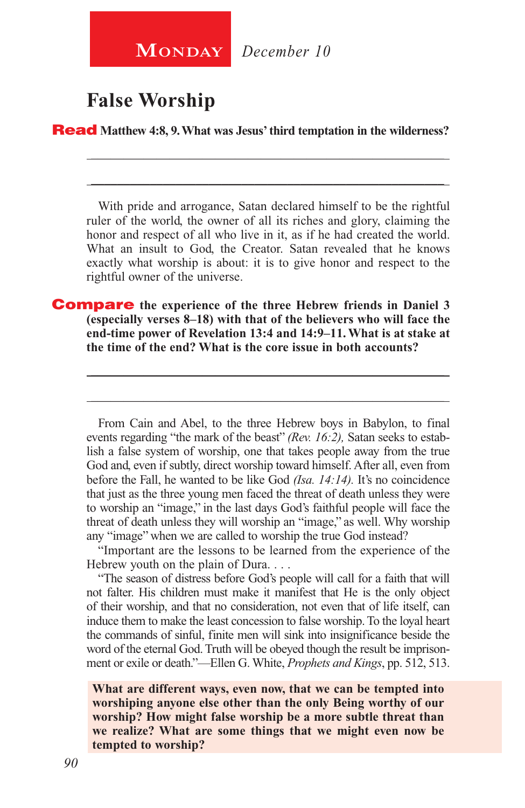**MONDAY** December 10

## **False Worship**

Read **Matthew 4:8, 9. What was Jesus' third temptation in the wilderness?** 

With pride and arrogance, Satan declared himself to be the rightful ruler of the world, the owner of all its riches and glory, claiming the honor and respect of all who live in it, as if he had created the world. What an insult to God, the Creator. Satan revealed that he knows exactly what worship is about: it is to give honor and respect to the rightful owner of the universe.

\_\_\_\_\_\_\_\_\_\_\_\_\_\_\_\_\_\_\_\_\_\_\_\_\_\_\_\_\_\_\_\_\_\_\_\_\_\_\_\_\_\_\_\_\_\_\_\_\_\_\_\_\_\_ \_\_\_\_\_\_\_\_\_\_\_\_\_\_\_\_\_\_\_\_\_\_\_\_\_\_\_\_\_\_\_\_\_\_\_\_\_\_\_\_\_\_\_\_\_\_\_\_\_\_\_\_\_\_

Compare **the experience of the three Hebrew friends in Daniel 3 (especially verses 8–18) with that of the believers who will face the end-time power of Revelation 13:4 and 14:9–11. What is at stake at the time of the end? What is the core issue in both accounts?**

From Cain and Abel, to the three Hebrew boys in Babylon, to final events regarding "the mark of the beast" *(Rev. 16:2),* Satan seeks to establish a false system of worship, one that takes people away from the true God and, even if subtly, direct worship toward himself. After all, even from before the Fall, he wanted to be like God *(Isa. 14:14).* It's no coincidence that just as the three young men faced the threat of death unless they were to worship an "image," in the last days God's faithful people will face the threat of death unless they will worship an "image," as well. Why worship any "image" when we are called to worship the true God instead?

\_\_\_\_\_\_\_\_\_\_\_\_\_\_\_\_\_\_\_\_\_\_\_\_\_\_\_\_\_\_\_\_\_\_\_\_\_\_\_\_\_\_\_\_\_\_\_\_\_\_\_\_\_\_

\_\_\_\_\_\_\_\_\_\_\_\_\_\_\_\_\_\_\_\_\_\_\_\_\_\_\_\_\_\_\_\_\_\_\_\_\_\_\_\_\_\_\_\_\_\_\_\_\_\_\_\_\_\_

"Important are the lessons to be learned from the experience of the Hebrew youth on the plain of Dura. . . .

"The season of distress before God's people will call for a faith that will not falter. His children must make it manifest that He is the only object of their worship, and that no consideration, not even that of life itself, can induce them to make the least concession to false worship. To the loyal heart the commands of sinful, finite men will sink into insignificance beside the word of the eternal God. Truth will be obeyed though the result be imprisonment or exile or death."—Ellen G. White, *Prophets and Kings*, pp. 512, 513.

**What are different ways, even now, that we can be tempted into worshiping anyone else other than the only Being worthy of our worship? How might false worship be a more subtle threat than we realize? What are some things that we might even now be tempted to worship?**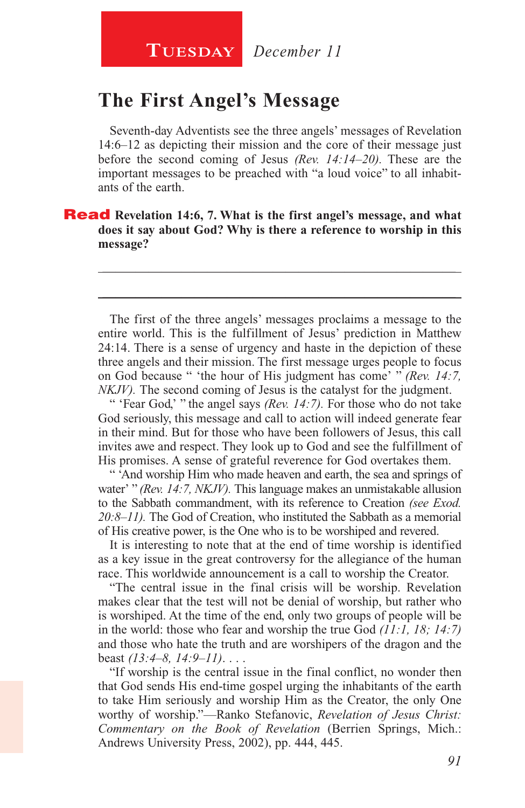## **The First Angel's Message**

Seventh-day Adventists see the three angels' messages of Revelation 14:6–12 as depicting their mission and the core of their message just before the second coming of Jesus *(Rev. 14:14–20).* These are the important messages to be preached with "a loud voice" to all inhabitants of the earth.

Read **Revelation 14:6, 7. What is the first angel's message, and what does it say about God? Why is there a reference to worship in this message?**

The first of the three angels' messages proclaims a message to the entire world. This is the fulfillment of Jesus' prediction in Matthew 24:14. There is a sense of urgency and haste in the depiction of these three angels and their mission. The first message urges people to focus on God because " 'the hour of His judgment has come' " *(Rev. 14:7, NKJV*). The second coming of Jesus is the catalyst for the judgment.

\_\_\_\_\_\_\_\_\_\_\_\_\_\_\_\_\_\_\_\_\_\_\_\_\_\_\_\_\_\_\_\_\_\_\_\_\_\_\_\_\_\_\_\_\_\_\_\_\_\_\_\_\_\_

\_\_\_\_\_\_\_\_\_\_\_\_\_\_\_\_\_\_\_\_\_\_\_\_\_\_\_\_\_\_\_\_\_\_\_\_\_\_\_\_\_\_\_\_\_\_\_\_\_\_\_\_\_\_

" 'Fear God,' " the angel says *(Rev. 14:7).* For those who do not take God seriously, this message and call to action will indeed generate fear in their mind. But for those who have been followers of Jesus, this call invites awe and respect. They look up to God and see the fulfillment of His promises. A sense of grateful reverence for God overtakes them.

" 'And worship Him who made heaven and earth, the sea and springs of water' " *(Rev. 14:7, NKJV).* This language makes an unmistakable allusion to the Sabbath commandment, with its reference to Creation *(see Exod. 20:8–11).* The God of Creation, who instituted the Sabbath as a memorial of His creative power, is the One who is to be worshiped and revered.

It is interesting to note that at the end of time worship is identified as a key issue in the great controversy for the allegiance of the human race. This worldwide announcement is a call to worship the Creator.

"The central issue in the final crisis will be worship. Revelation makes clear that the test will not be denial of worship, but rather who is worshiped. At the time of the end, only two groups of people will be in the world: those who fear and worship the true God *(11:1, 18; 14:7)*  and those who hate the truth and are worshipers of the dragon and the beast *(13:4–8, 14:9–11)*. . . .

"If worship is the central issue in the final conflict, no wonder then that God sends His end-time gospel urging the inhabitants of the earth to take Him seriously and worship Him as the Creator, the only One worthy of worship."—Ranko Stefanovic, *Revelation of Jesus Christ: Commentary on the Book of Revelation* (Berrien Springs, Mich.: Andrews University Press, 2002), pp. 444, 445.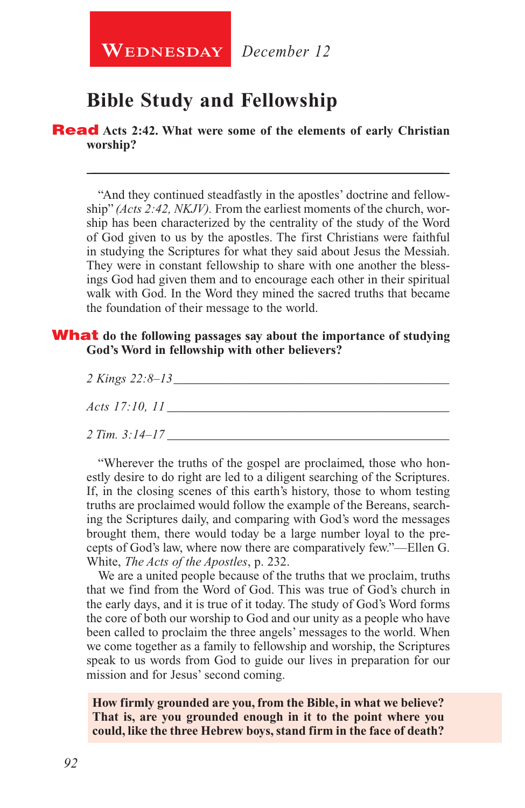**WEDNESDAY** December 12

# **Bible Study and Fellowship**

Read **Acts 2:42. What were some of the elements of early Christian worship?**

"And they continued steadfastly in the apostles' doctrine and fellowship" *(Acts 2:42, NKJV).* From the earliest moments of the church, worship has been characterized by the centrality of the study of the Word of God given to us by the apostles. The first Christians were faithful in studying the Scriptures for what they said about Jesus the Messiah. They were in constant fellowship to share with one another the blessings God had given them and to encourage each other in their spiritual walk with God. In the Word they mined the sacred truths that became the foundation of their message to the world.

\_\_\_\_\_\_\_\_\_\_\_\_\_\_\_\_\_\_\_\_\_\_\_\_\_\_\_\_\_\_\_\_\_\_\_\_\_\_\_\_\_\_\_\_\_\_\_\_\_\_\_\_\_\_

#### What **do the following passages say about the importance of studying God's Word in fellowship with other believers?**

| 2 Kings 22:8-13       |  |
|-----------------------|--|
| <i>Acts</i> 17:10, 11 |  |
| 2 Tim. 3:14–17        |  |

"Wherever the truths of the gospel are proclaimed, those who honestly desire to do right are led to a diligent searching of the Scriptures. If, in the closing scenes of this earth's history, those to whom testing truths are proclaimed would follow the example of the Bereans, searching the Scriptures daily, and comparing with God's word the messages brought them, there would today be a large number loyal to the precepts of God's law, where now there are comparatively few."—Ellen G. White, *The Acts of the Apostles*, p. 232.

We are a united people because of the truths that we proclaim, truths that we find from the Word of God. This was true of God's church in the early days, and it is true of it today. The study of God's Word forms the core of both our worship to God and our unity as a people who have been called to proclaim the three angels' messages to the world. When we come together as a family to fellowship and worship, the Scriptures speak to us words from God to guide our lives in preparation for our mission and for Jesus' second coming.

**How firmly grounded are you, from the Bible, in what we believe? That is, are you grounded enough in it to the point where you could, like the three Hebrew boys, stand firm in the face of death?**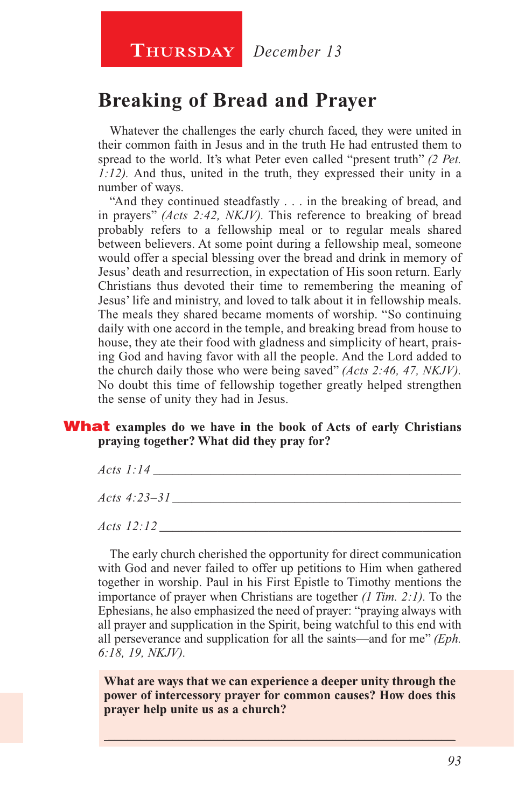# **Breaking of Bread and Prayer**

Whatever the challenges the early church faced, they were united in their common faith in Jesus and in the truth He had entrusted them to spread to the world. It's what Peter even called "present truth" *(2 Pet. 1:12).* And thus, united in the truth, they expressed their unity in a number of ways.

"And they continued steadfastly . . . in the breaking of bread, and in prayers" *(Acts 2:42, NKJV).* This reference to breaking of bread probably refers to a fellowship meal or to regular meals shared between believers. At some point during a fellowship meal, someone would offer a special blessing over the bread and drink in memory of Jesus' death and resurrection, in expectation of His soon return. Early Christians thus devoted their time to remembering the meaning of Jesus' life and ministry, and loved to talk about it in fellowship meals. The meals they shared became moments of worship. "So continuing daily with one accord in the temple, and breaking bread from house to house, they ate their food with gladness and simplicity of heart, praising God and having favor with all the people. And the Lord added to the church daily those who were being saved" *(Acts 2:46, 47, NKJV).*  No doubt this time of fellowship together greatly helped strengthen the sense of unity they had in Jesus.

#### What **examples do we have in the book of Acts of early Christians praying together? What did they pray for?**

| $Acts$ 1:14    |  |  |
|----------------|--|--|
| Acts $4:23-31$ |  |  |
| Acts $12:12$   |  |  |

The early church cherished the opportunity for direct communication with God and never failed to offer up petitions to Him when gathered together in worship. Paul in his First Epistle to Timothy mentions the importance of prayer when Christians are together *(1 Tim. 2:1).* To the Ephesians, he also emphasized the need of prayer: "praying always with all prayer and supplication in the Spirit, being watchful to this end with all perseverance and supplication for all the saints—and for me" *(Eph. 6:18, 19, NKJV).*

**What are ways that we can experience a deeper unity through the power of intercessory prayer for common causes? How does this prayer help unite us as a church?**

 $\_$  , and the set of the set of the set of the set of the set of the set of the set of the set of the set of the set of the set of the set of the set of the set of the set of the set of the set of the set of the set of th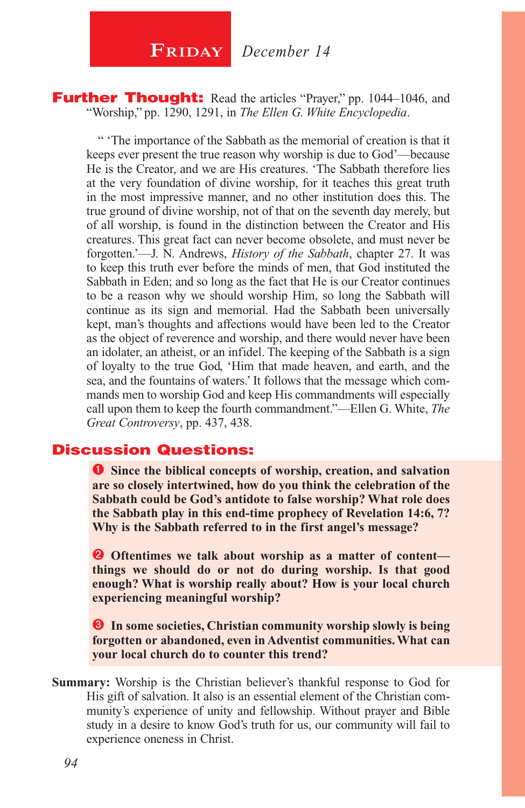$\begin{array}{|c|c|c|}\n\hline\n\textbf{FRIDAY} & \textbf{December 14}\n\end{array}$ 

**Further Thought:** Read the articles "Prayer," pp. 1044–1046, and "Worship," pp. 1290, 1291, in *The Ellen G. White Encyclopedia*.

" 'The importance of the Sabbath as the memorial of creation is that it keeps ever present the true reason why worship is due to God'—because He is the Creator, and we are His creatures. 'The Sabbath therefore lies at the very foundation of divine worship, for it teaches this great truth in the most impressive manner, and no other institution does this. The true ground of divine worship, not of that on the seventh day merely, but of all worship, is found in the distinction between the Creator and His creatures. This great fact can never become obsolete, and must never be forgotten.'—J. N. Andrews, *History of the Sabbath*, chapter 27. It was to keep this truth ever before the minds of men, that God instituted the Sabbath in Eden; and so long as the fact that He is our Creator continues to be a reason why we should worship Him, so long the Sabbath will continue as its sign and memorial. Had the Sabbath been universally kept, man's thoughts and affections would have been led to the Creator as the object of reverence and worship, and there would never have been an idolater, an atheist, or an infidel. The keeping of the Sabbath is a sign of loyalty to the true God, 'Him that made heaven, and earth, and the sea, and the fountains of waters.' It follows that the message which commands men to worship God and keep His commandments will especially call upon them to keep the fourth commandment."—Ellen G. White, *The Great Controversy*, pp. 437, 438.

#### Discussion Questions:

**O** Since the biblical concepts of worship, creation, and salvation **are so closely intertwined, how do you think the celebration of the Sabbath could be God's antidote to false worship? What role does the Sabbath play in this end-time prophecy of Revelation 14:6, 7? Why is the Sabbath referred to in the first angel's message?**

**O** Oftentimes we talk about worship as a matter of content **things we should do or not do during worship. Is that good enough? What is worship really about? How is your local church experiencing meaningful worship?**

 **In some societies, Christian community worship slowly is being forgotten or abandoned, even in Adventist communities. What can your local church do to counter this trend?**

**Summary:** Worship is the Christian believer's thankful response to God for His gift of salvation. It also is an essential element of the Christian community's experience of unity and fellowship. Without prayer and Bible study in a desire to know God's truth for us, our community will fail to experience oneness in Christ.